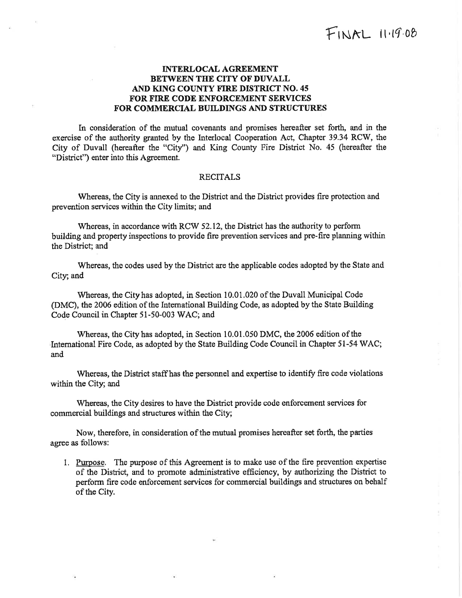## INTERLOCAL AGREEMENT BETWEEN THE CITY OF DUVALL AND KING COUNTY FIRE DISTRICT NO. 45 FOR FIRE CODE ENFORCEMENT SERVICES FOR COMMERCIAL BUILDINGS AND STRUCTURES

In consideration of the mutual covenants and promises hereafter set forth, and in the exercise of the authority granted by the Interlocal Cooperation Act, Chapter 39.34 RCW, the City of Duvall (hereafter the "City'') and King County Fire District No. 45 (hereafter the "District") enter into this Agreement.

## RECITALS

Whereas, the City is annexed to the District and the District provides fire protection and prevention services within the City limits; and

Whereas, in accordance with RCW 52.12, the District has the authority to perform building and property inspections to provide fire prevention services and pre-fire planning within the District; and

Whereas, the codes used by the District are the applicable codes adopted by the State and City; and

Whereas, the City has adopted, in Section 10.0i,020 of the Duvall Municipal Code (DMC), the 2006 edition of the Intemational Building Code, as adopted by the State Building Code Council in Chapter 51-50-003 WAC; and

Whereas, the City has adopted, in Section 10.01.050 DMC, the 2006 edition of the International Fire Code, as adopted by the State Building Code Council in Chapter 51-54 WAC; and

Whereas, the District staffhas the personnel and expertise to identify fire code violations within the City; and

Whereas, the City desires to have the District provide code enforcement services for commercial buildíngs and structures within the City;

Now, therefore, in consideration of the mutual promises hereafter set forth, the parties agree as follows:

1. Purpose. The purpose of this Agreement is to make use of the fire prevention expertise of the District, and to promote administrative efficiency, by authorizing the District to perform fire code enforcement services for commercial buildings and structures on behalf of the City.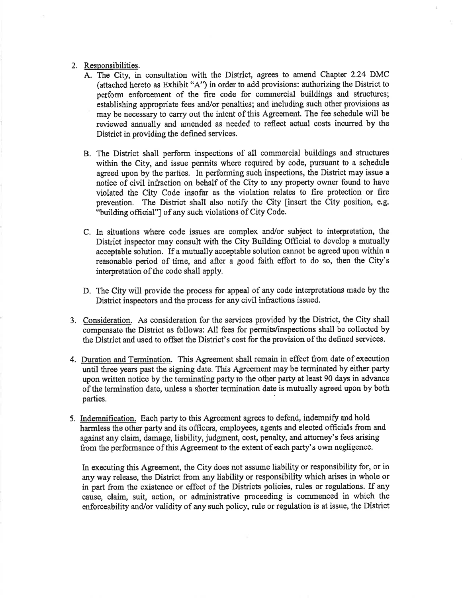## 2. Responsibilities.

- A. The City, in consultation with the District, agrees to amend Chapter 2.24 DMC (attached hereto as Exhibit "4") in order to add provisions: authorizing the District to perform enforcement of the fire code for commercial buildings and structures; establishing appropriate fees and/or penalties; and including such other provisions as may be necessary to carry out the intent of this Agreement. The fee schedule will be reviewed annually and amended as needed to reflect actual costs incurred by the District in providing the defined services.
- B. The Diskict shall perform inspections of all commercial buildings and structures within the City, and issue permits where required by code, pursuant to a schedule agreed upon by the parties. In performing such inspections, the District may issue a notice of civil infraction on behalf of the City to any property owner found to have violated the City Code insofar as the violation relates to fire protection or fire prevention. The District shall also notify the City finsert the City position, e.g. "building official"] of any such violations of City Code.
- C. In situations where code issues are complex and/or subject to interpretation, the District inspector may consult with the City Building Official to develop a mutually acceptable solution. If a mutually acceptable solution cannot be agreed upon within <sup>a</sup> reasonable period of time, and after a good faith effort to do so, then the City's interpretation of the code shall apply.
- D. The City will provide the process for appeal of any code interpretations made by the District inspectors and the process for any civil infractions issued.
- 3. Consideration. As consideration for the services provided by the District, the City shall compensate the District as follows: All fees for permits/inspections shall be collected by the District and used to offset the District's cost for the provision of the defined services.
- 4. Duration and Termination. This Agreement shall remain in effect from date of execution until three years past the signing date. This Agreement may be terminated by either party upon written notice by the terminating party to the other party at least 90 days in advance of the termination date, unless a shorter termination date is mutually agreed upon by both parties.
- 5. Indemnification. Each party to this Agreement agrees to defend, indemnify and hold harmless the other party and its officers, employees, agents and elected officials from and against any claim, damage, liability, judgment, cost, penalty, and attorney's fees arising from the performance of this Agreement to the extent of each party's own negligence.

In executing this Agreement, the City does not assume liability or responsibility for, or in any way release, the District from any liability or responsibility which arises in whole or in part from the existence or effect of the Districts policies, rules or regulations. If any cause, claim, suit, action, or administrative proceeding is commenced in which the enforceability and/or validity of any such policy, rule or regulation is at issue, the District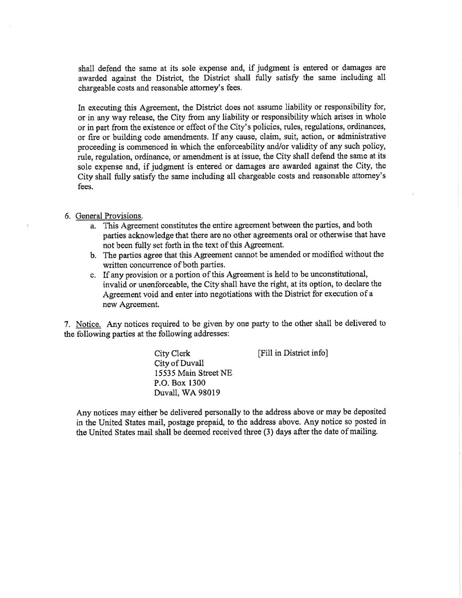shall defend the same at its sole expense and, if judgment is entered or damages are awarded against the District, the District shall fully satisfy the same including all chargeable costs and reasonable attorney's fees.

In executing this Agreement, the District does not assume liability or responsibility for, or in any way release, the City from any liability or responsibility which arises in whole or in part from the existence or effect of the City's policies, rules, regulations, ordinances, or fire or building code amendments. If any cause, claim, suit, action, or administrative proceeding is commenced in which the enforceability and/or validity of any such policy, rule, regulation, ordinance, or amendment is at issue, the City shall defend the same at its sole expense and, if judgment is entered or damages are awarded against the City, the City shall fully satisfy the same including all chargeable costs and reasonable attomey's fees.

## 6. General Provisions.

- a. This Agreement constitutes the entire agreement between the parties, and both parties acknowledge that there are no other agreements oral or otherwise that have not been fully set forth in the text of this Agreement.
- b. The parties agree that this Agreement cannot be amended or modified without the written concurrence of both parties.
- c. If any provision or a portion of this Agreement is held to be unconstitutional, invalid or unenforceable, the City shall have the right, at its option, to declare the Agreement void and enter into negotiations with the District for execution of <sup>a</sup> new Agreement.

7. Notice. Any notices required to be given by one party to the other shall be delivered to the following parties at the following addresses:

> City Clerk City of Duvall 15535 Main Street NE P.O. Box 1300 Duvall, WA 98019

[Fill in District info]

Any notices may either be delivered personally to the address above or may be deposited in the United States mail, postage prepaid, to the address above. Any notice so posted in the United States mail shall be deemed received three (3) days after the date of mailing.